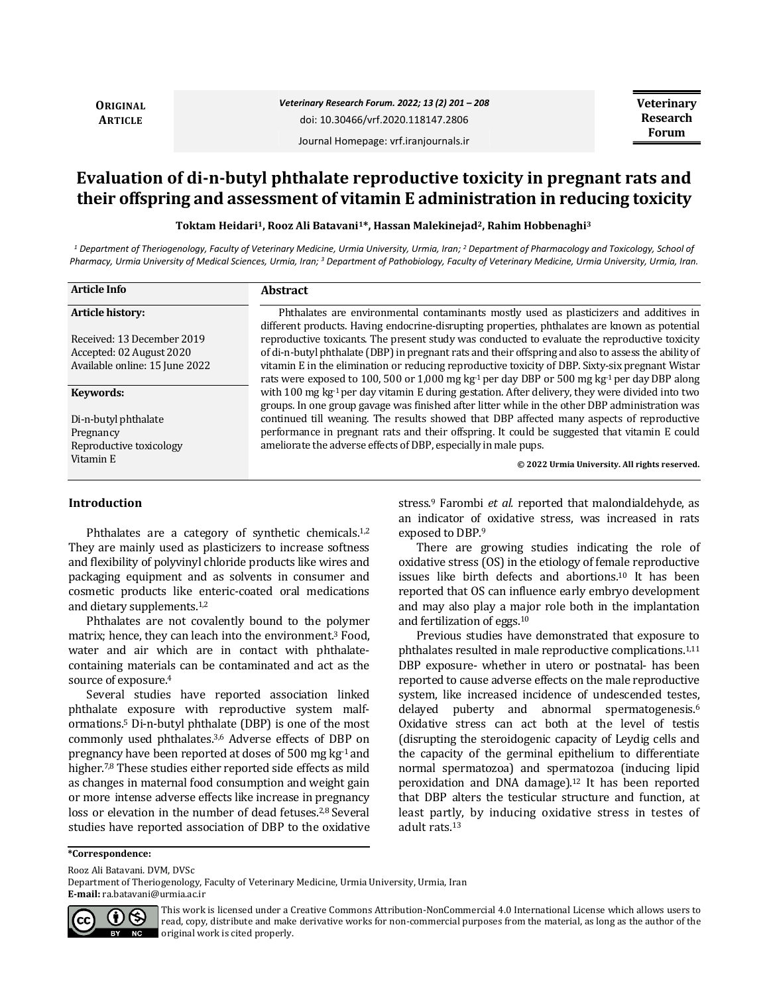**ORIGINAL ARTICLE**

## *Veterinary Research Forum. 2022; 13 (2) 201 – 208* doi: 10.30466/vrf.2020.118147.2806

**Veterinary Research Forum**

Journal Homepage: vrf.iranjournals.ir

# **Evaluation of di-n-butyl phthalate reproductive toxicity in pregnant rats and their offspring and assessment of vitamin E administration in reducing toxicity**

**Toktam Heidari1, Rooz Ali Batavani1\*, Hassan Malekinejad2, Rahim Hobbenaghi<sup>3</sup>**

<sup>1</sup> Department of Theriogenology, Faculty of Veterinary Medicine, Urmia University, Urmia, Iran; <sup>2</sup> Department of Pharmacology and Toxicology, School of *Pharmacy, Urmia University of Medical Sciences, Urmia, Iran; <sup>3</sup> Department of Pathobiology, Faculty of Veterinary Medicine, Urmia University, Urmia, Iran.*

| <b>Article Info</b>                                                                      | <b>Abstract</b>                                                                                                                                                                                                                                                                                                                                                                                                                  |
|------------------------------------------------------------------------------------------|----------------------------------------------------------------------------------------------------------------------------------------------------------------------------------------------------------------------------------------------------------------------------------------------------------------------------------------------------------------------------------------------------------------------------------|
| Article history:                                                                         | Phthalates are environmental contaminants mostly used as plasticizers and additives in<br>different products. Having endocrine-disrupting properties, phthalates are known as potential                                                                                                                                                                                                                                          |
| Received: 13 December 2019<br>Accepted: 02 August 2020<br>Available online: 15 June 2022 | reproductive toxicants. The present study was conducted to evaluate the reproductive toxicity<br>of di-n-butyl phthalate (DBP) in pregnant rats and their offspring and also to assess the ability of<br>vitamin E in the elimination or reducing reproductive toxicity of DBP. Sixty-six pregnant Wistar<br>rats were exposed to 100, 500 or 1,000 mg kg <sup>-1</sup> per day DBP or 500 mg kg <sup>-1</sup> per day DBP along |
| Keywords:                                                                                | with 100 mg kg <sup>-1</sup> per day vitamin E during gestation. After delivery, they were divided into two<br>groups. In one group gavage was finished after litter while in the other DBP administration was                                                                                                                                                                                                                   |
| Di-n-butyl phthalate<br>Pregnancy<br>Reproductive toxicology                             | continued till weaning. The results showed that DBP affected many aspects of reproductive<br>performance in pregnant rats and their offspring. It could be suggested that vitamin E could<br>ameliorate the adverse effects of DBP, especially in male pups.                                                                                                                                                                     |
| Vitamin E                                                                                | © 2022 Urmia University. All rights reserved.                                                                                                                                                                                                                                                                                                                                                                                    |

### **Introduction**

Phthalates are a category of synthetic chemicals.<sup>1,2</sup> They are mainly used as plasticizers to increase softness and flexibility of polyvinyl chloride products like wires and packaging equipment and as solvents in consumer and cosmetic products like enteric-coated oral medications and dietary supplements.1,2

Phthalates are not covalently bound to the polymer matrix; hence, they can leach into the environment.<sup>3</sup> Food, water and air which are in contact with phthalatecontaining materials can be contaminated and act as the source of exposure.<sup>4</sup>

Several studies have reported association linked phthalate exposure with reproductive system malformations.<sup>5</sup> Di-n-butyl phthalate (DBP) is one of the most commonly used phthalates.3,6 Adverse effects of DBP on pregnancy have been reported at doses of 500 mg  $kg<sup>-1</sup>$  and higher.<sup>7,8</sup> These studies either reported side effects as mild as changes in maternal food consumption and weight gain or more intense adverse effects like increase in pregnancy loss or elevation in the number of dead fetuses.<sup>2,8</sup> Several studies have reported association of DBP to the oxidative stress.<sup>9</sup> Farombi *et al.* reported that malondialdehyde, as an indicator of oxidative stress, was increased in rats exposed to DBP.<sup>9</sup>

There are growing studies indicating the role of oxidative stress (OS) in the etiology of female reproductive issues like birth defects and abortions.<sup>10</sup> It has been reported that OS can influence early embryo development and may also play a major role both in the implantation and fertilization of eggs.<sup>10</sup>

Previous studies have demonstrated that exposure to phthalates resulted in male reproductive complications.1,11 DBP exposure- whether in utero or postnatal- has been reported to cause adverse effects on the male reproductive system, like increased incidence of undescended testes, delayed puberty and abnormal spermatogenesis.<sup>6</sup> Oxidative stress can act both at the level of testis (disrupting the steroidogenic capacity of Leydig cells and the capacity of the germinal epithelium to differentiate normal spermatozoa) and spermatozoa (inducing lipid peroxidation and DNA damage).<sup>12</sup> It has been reported that DBP alters the testicular structure and function, at least partly, by inducing oxidative stress in testes of adult rats.<sup>13</sup>

**\*Correspondence:**

Rooz Ali Batavani. DVM, DVSc

Department of Theriogenology, Faculty of Veterinary Medicine, Urmia University, Urmia, Iran **E-mail:** ra.batavani@urmia.ac.ir



This work is licensed under a [Creative Commons Attribution-NonCommercial 4.0 International License](http://creativecommons.org/licenses/by-nc/4.0/) which allows users to read, copy, distribute and make derivative works for non-commercial purposes from the material, as long as the author of the original work is cited properly.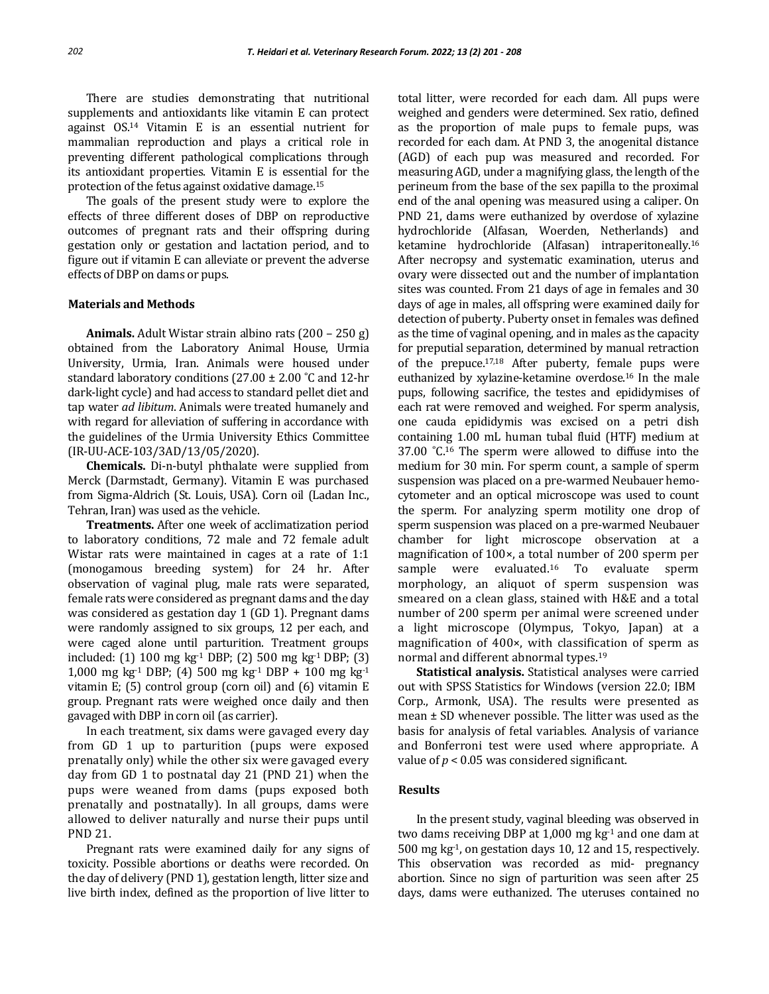There are studies demonstrating that nutritional supplements and antioxidants like vitamin E can protect against OS.<sup>14</sup> Vitamin E is an essential nutrient for mammalian reproduction and plays a critical role in preventing different pathological complications through its antioxidant properties. Vitamin E is essential for the protection of the fetus against oxidative damage.<sup>15</sup>

The goals of the present study were to explore the effects of three different doses of DBP on reproductive outcomes of pregnant rats and their offspring during gestation only or gestation and lactation period, and to figure out if vitamin E can alleviate or prevent the adverse effects of DBP on dams or pups.

#### **Materials and Methods**

**Animals.** Adult Wistar strain albino rats (200 – 250 g) obtained from the Laboratory Animal House, Urmia University, Urmia, Iran. Animals were housed under standard laboratory conditions (27.00  $\pm$  2.00 °C and 12-hr dark-light cycle) and had access to standard pellet diet and tap water *ad libitum*. Animals were treated humanely and with regard for alleviation of suffering in accordance with the guidelines of the Urmia University Ethics Committee (IR-UU-ACE-103/3AD/13/05/2020).

**Chemicals.** Di-n-butyl phthalate were supplied from Merck (Darmstadt, Germany). Vitamin E was purchased from Sigma-Aldrich (St. Louis, USA). Corn oil (Ladan Inc., Tehran, Iran) was used as the vehicle.

**Treatments.** After one week of acclimatization period to laboratory conditions, 72 male and 72 female adult Wistar rats were maintained in cages at a rate of 1:1 (monogamous breeding system) for 24 hr. After observation of vaginal plug, male rats were separated, female rats were considered as pregnant dams and the day was considered as gestation day 1 (GD 1). Pregnant dams were randomly assigned to six groups, 12 per each, and were caged alone until parturition. Treatment groups included: (1) 100 mg kg-1 DBP; (2) 500 mg kg-1 DBP; (3) 1,000 mg kg<sup>-1</sup> DBP; (4) 500 mg kg<sup>-1</sup> DBP + 100 mg kg<sup>-1</sup> vitamin E; (5) control group (corn oil) and (6) vitamin E group. Pregnant rats were weighed once daily and then gavaged with DBP in corn oil (as carrier).

In each treatment, six dams were gavaged every day from GD 1 up to parturition (pups were exposed prenatally only) while the other six were gavaged every day from GD 1 to postnatal day 21 (PND 21) when the pups were weaned from dams (pups exposed both prenatally and postnatally). In all groups, dams were allowed to deliver naturally and nurse their pups until PND 21.

Pregnant rats were examined daily for any signs of toxicity. Possible abortions or deaths were recorded. On the day of delivery (PND 1), gestation length, litter size and live birth index, defined as the proportion of live litter to

total litter, were recorded for each dam. All pups were weighed and genders were determined. Sex ratio, defined as the proportion of male pups to female pups, was recorded for each dam. At PND 3, the anogenital distance (AGD) of each pup was measured and recorded. For measuring AGD, under a magnifying glass, the length of the perineum from the base of the sex papilla to the proximal end of the anal opening was measured using a caliper. On PND 21, dams were euthanized by overdose of xylazine hydrochloride (Alfasan, Woerden, Netherlands) and ketamine hydrochloride (Alfasan) intraperitoneally.<sup>16</sup> After necropsy and systematic examination, uterus and ovary were dissected out and the number of implantation sites was counted. From 21 days of age in females and 30 days of age in males, all offspring were examined daily for detection of puberty. Puberty onset in females was defined as the time of vaginal opening, and in males as the capacity for preputial separation, determined by manual retraction of the prepuce.17,18 After puberty, female pups were euthanized by xylazine-ketamine overdose.<sup>16</sup> In the male pups, following sacrifice, the testes and epididymises of each rat were removed and weighed. For sperm analysis, one cauda epididymis was excised on a petri dish containing 1.00 mL human tubal fluid (HTF) medium at 37.00 ˚C.<sup>16</sup> The sperm were allowed to diffuse into the medium for 30 min. For sperm count, a sample of sperm suspension was placed on a pre-warmed Neubauer hemocytometer and an optical microscope was used to count the sperm. For analyzing sperm motility one drop of sperm suspension was placed on a pre-warmed Neubauer chamber for light microscope observation at a magnification of 100×, a total number of 200 sperm per sample were evaluated.<sup>16</sup> To evaluate sperm morphology, an aliquot of sperm suspension was smeared on a clean glass, stained with H&E and a total number of 200 sperm per animal were screened under a light microscope (Olympus, Tokyo, Japan) at a magnification of 400×, with classification of sperm as normal and different abnormal types.<sup>19</sup>

**Statistical analysis.** Statistical analyses were carried out with SPSS Statistics for Windows (version 22.0; IBM Corp., Armonk, USA). The results were presented as mean ± SD whenever possible. The litter was used as the basis for analysis of fetal variables. Analysis of variance and Bonferroni test were used where appropriate. A value of  $p < 0.05$  was considered significant.

## **Results**

In the present study, vaginal bleeding was observed in two dams receiving DBP at  $1,000$  mg kg<sup>-1</sup> and one dam at 500 mg kg-1, on gestation days 10, 12 and 15, respectively. This observation was recorded as mid- pregnancy abortion. Since no sign of parturition was seen after 25 days, dams were euthanized. The uteruses contained no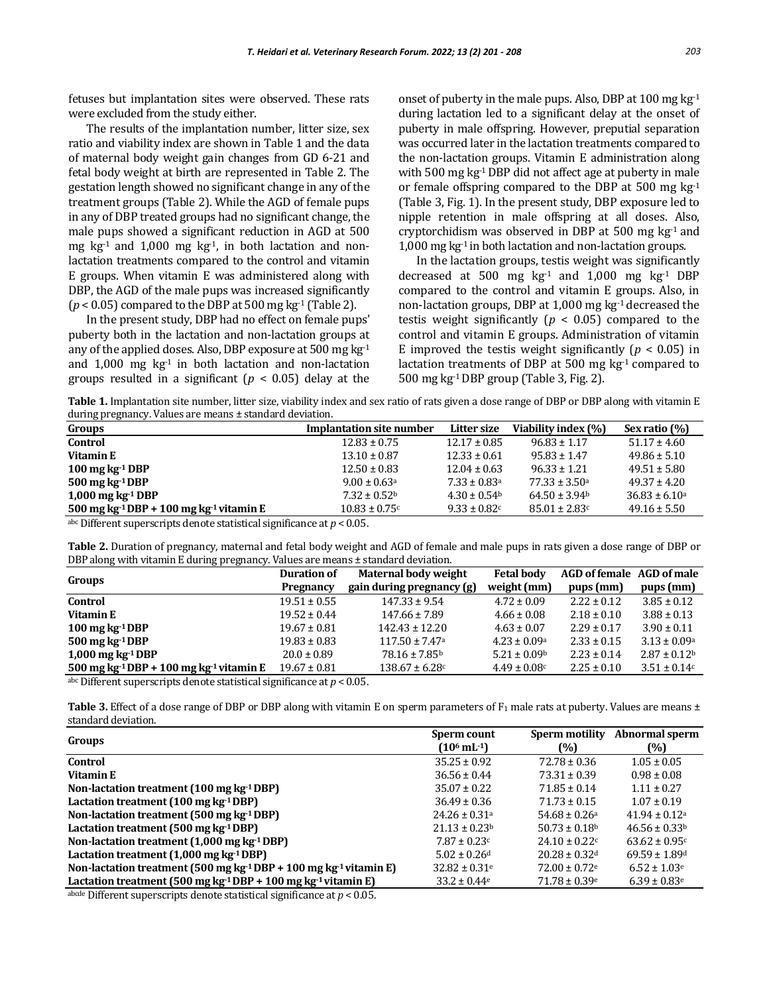fetuses but implantation sites were observed. These rats were excluded from the study either.

The results of the implantation number, litter size, sex ratio and viability index are shown in Table 1 and the data of maternal body weight gain changes from GD 6-21 and fetal body weight at birth are represented in Table 2. The gestation length showed no significant change in any of the treatment groups (Table 2). While the AGD of female pups in any of DBP treated groups had no significant change, the male pups showed a significant reduction in AGD at 500 mg  $kg<sup>-1</sup>$  and 1,000 mg  $kg<sup>-1</sup>$ , in both lactation and nonlactation treatments compared to the control and vitamin E groups. When vitamin E was administered along with DBP, the AGD of the male pups was increased significantly  $(p < 0.05)$  compared to the DBP at 500 mg kg<sup>-1</sup> (Table 2).

In the present study, DBP had no effect on female pups' puberty both in the lactation and non-lactation groups at any of the applied doses. Also, DBP exposure at 500 mg kg-1 and  $1,000$  mg  $kg<sup>-1</sup>$  in both lactation and non-lactation groups resulted in a significant (*p* < 0.05) delay at the onset of puberty in the male pups. Also, DBP at 100 mg  $kg<sup>-1</sup>$ during lactation led to a significant delay at the onset of puberty in male offspring. However, preputial separation was occurred later in the lactation treatments compared to the non-lactation groups. Vitamin E administration along with 500 mg kg-1 DBP did not affect age at puberty in male or female offspring compared to the DBP at 500 mg kg-1 (Table 3, Fig. 1). In the present study, DBP exposure led to nipple retention in male offspring at all doses. Also, cryptorchidism was observed in DBP at  $500$  mg kg<sup>-1</sup> and 1,000 mg kg-1 in both lactation and non-lactation groups.

In the lactation groups, testis weight was significantly decreased at 500 mg  $kg<sup>-1</sup>$  and 1,000 mg  $kg<sup>-1</sup>$  DBP compared to the control and vitamin E groups. Also, in non-lactation groups, DBP at 1,000 mg kg-1 decreased the testis weight significantly ( $p < 0.05$ ) compared to the control and vitamin E groups. Administration of vitamin E improved the testis weight significantly ( $p < 0.05$ ) in lactation treatments of DBP at 500 mg kg-1 compared to 500 mg kg-1 DBP group (Table 3, Fig. 2).

Table 1. Implantation site number, litter size, viability index and sex ratio of rats given a dose range of DBP or DBP along with vitamin E during pregnancy. Values are means ± standard deviation.

| Groups                                                                                 | <b>Implantation site number</b> | Litter size                  | Viability index (%)           | Sex ratio (%)      |
|----------------------------------------------------------------------------------------|---------------------------------|------------------------------|-------------------------------|--------------------|
| Control                                                                                | $12.83 \pm 0.75$                | $12.17 \pm 0.85$             | $96.83 \pm 1.17$              | $51.17 \pm 4.60$   |
| Vitamin E                                                                              | $13.10 \pm 0.87$                | $12.33 \pm 0.61$             | $95.83 \pm 1.47$              | $49.86 \pm 5.10$   |
| $100 \,\mathrm{mg} \,\mathrm{kg}$ <sup>1</sup> DBP                                     | $12.50 \pm 0.83$                | $12.04 \pm 0.63$             | $96.33 \pm 1.21$              | $49.51 \pm 5.80$   |
| $500$ mg kg $\cdot$ <sup>1</sup> DBP                                                   | $9.00 \pm 0.63$ <sup>a</sup>    | $7.33 \pm 0.83$ <sup>a</sup> | $77.33 \pm 3.50$ a            | $49.37 \pm 4.20$   |
| $1,000$ mg kg <sup>-1</sup> DBP                                                        | $7.32 \pm 0.52^{\circ}$         | $4.30 \pm 0.54$ <sup>b</sup> | $64.50 \pm 3.94$ <sup>b</sup> | $36.83 \pm 6.10^a$ |
| 500 mg kg $\cdot$ 1 DBP + 100 mg kg $\cdot$ 1 vitamin E                                | $10.83 \pm 0.75$ c              | $9.33 \pm 0.82$ c            | $85.01 \pm 2.83$ c            | $49.16 \pm 5.50$   |
| $\alpha$ be Different currentesimple denote ototicized gionificance at $n \times 0.05$ |                                 |                              |                               |                    |

abc Different superscripts denote statistical significance at *p* < 0.05.

**Table 2.** Duration of pregnancy, maternal and fetal body weight and AGD of female and male pups in rats given a dose range of DBP or DBP along with vitamin E during pregnancy. Values are means ± standard deviation.

| Groups                                                                                                                                         | <b>Duration of</b> | Maternal body weight           | <b>Fetal body</b>            | AGD of female AGD of male |                   |
|------------------------------------------------------------------------------------------------------------------------------------------------|--------------------|--------------------------------|------------------------------|---------------------------|-------------------|
|                                                                                                                                                | Pregnancy          | gain during pregnancy (g)      | weight (mm)                  | pups(mm)                  | pups (mm)         |
| Control                                                                                                                                        | $19.51 \pm 0.55$   | $147.33 \pm 9.54$              | $4.72 \pm 0.09$              | $2.22 \pm 0.12$           | $3.85 \pm 0.12$   |
| Vitamin E                                                                                                                                      | $19.52 \pm 0.44$   | $147.66 \pm 7.89$              | $4.66 \pm 0.08$              | $2.18 \pm 0.10$           | $3.88 \pm 0.13$   |
| 100 mg $kg-1 DBP$                                                                                                                              | $19.67 \pm 0.81$   | $142.43 \pm 12.20$             | $4.63 \pm 0.07$              | $2.29 \pm 0.17$           | $3.90 \pm 0.11$   |
| $500$ mg kg $-1$ DBP                                                                                                                           | $19.83 \pm 0.83$   | $117.50 \pm 7.47$ <sup>a</sup> | $4.23 \pm 0.09$ a            | $2.33 \pm 0.15$           | $3.13 \pm 0.09a$  |
| $1,000$ mg kg <sup>-1</sup> DBP                                                                                                                | $20.0 \pm 0.89$    | $78.16 \pm 7.85^{\rm b}$       | $5.21 \pm 0.09$ <sup>b</sup> | $2.23 \pm 0.14$           | $2.87 \pm 0.12^b$ |
| 500 mg kg <sup>-1</sup> DBP + 100 mg kg <sup>-1</sup> vitamin E                                                                                | $19.67 \pm 0.81$   | $138.67 \pm 6.28$ c            | $4.49 \pm 0.08$ c            | $2.25 \pm 0.10$           | $3.51 \pm 0.14c$  |
| the contract of the contract of the contract of the contract of the contract of the contract of the contract of<br>$\sim$ $\sim$ $\sim$ $\sim$ |                    |                                |                              |                           |                   |

abc Different superscripts denote statistical significance at *p* < 0.05.

Table 3. Effect of a dose range of DBP or DBP along with vitamin E on sperm parameters of F<sub>1</sub> male rats at puberty. Values are means ± standard deviation.

| Groups                                                                                    | Sperm count                   | Sperm motility                | Abnormal sperm                |
|-------------------------------------------------------------------------------------------|-------------------------------|-------------------------------|-------------------------------|
|                                                                                           | $(10^6 \text{ mL}^{-1})$      | (%)                           | (%)                           |
| Control                                                                                   | $35.25 \pm 0.92$              | $72.78 \pm 0.36$              | $1.05 \pm 0.05$               |
| Vitamin E                                                                                 | $36.56 \pm 0.44$              | $73.31 \pm 0.39$              | $0.98 \pm 0.08$               |
| Non-lactation treatment $(100 \text{ mg kg} \cdot 100)$                                   | $35.07 \pm 0.22$              | $71.85 \pm 0.14$              | $1.11 \pm 0.27$               |
| Lactation treatment (100 mg kg·1DBP)                                                      | $36.49 \pm 0.36$              | $71.73 \pm 0.15$              | $1.07 \pm 0.19$               |
| Non-lactation treatment (500 mg kg-1 DBP)                                                 | $24.26 \pm 0.31a$             | $54.68 \pm 0.26$ <sup>a</sup> | $41.94 \pm 0.12$ <sup>a</sup> |
| Lactation treatment (500 mg kg-1 DBP)                                                     | $21.13 \pm 0.23$              | $50.73 \pm 0.18$              | $46.56 \pm 0.33$ <sup>b</sup> |
| Non-lactation treatment (1,000 mg kg-1 DBP)                                               | $7.87 \pm 0.23c$              | $24.10 \pm 0.22c$             | $63.62 \pm 0.95c$             |
| Lactation treatment $(1,000 \text{ mg kg} \cdot 1 \text{ DBP})$                           | $5.02 \pm 0.26$ <sup>d</sup>  | $20.28 \pm 0.32$ d            | $69.59 \pm 1.89$ <sup>d</sup> |
| Non-lactation treatment (500 mg kg <sup>-1</sup> DBP + 100 mg kg <sup>-1</sup> vitamin E) | $32.82 \pm 0.31$ <sup>e</sup> | $72.00 \pm 0.72$ <sup>e</sup> | $6.52 \pm 1.03$ <sup>e</sup>  |
| Lactation treatment (500 mg kg <sup>-1</sup> DBP + 100 mg kg <sup>-1</sup> vitamin E)     | $33.2 \pm 0.44$ <sup>e</sup>  | $71.78 \pm 0.39$ <sup>e</sup> | $6.39 \pm 0.83$ <sup>e</sup>  |

abcde Different superscripts denote statistical significance at *p* < 0.05.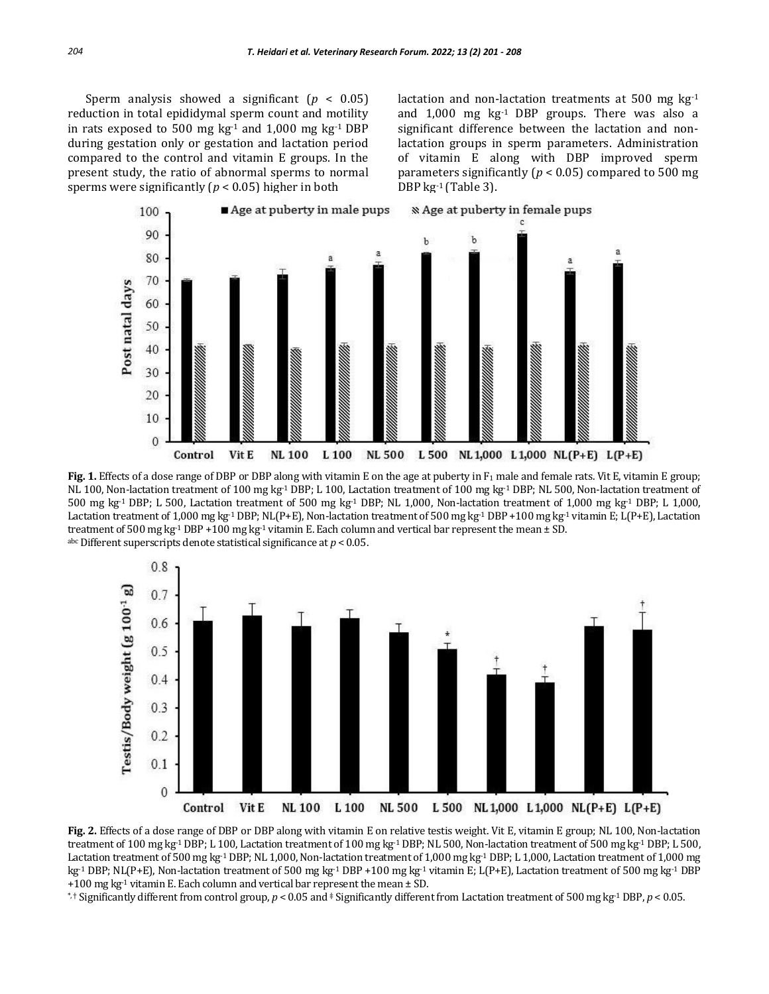Sperm analysis showed a significant  $(p < 0.05)$ reduction in total epididymal sperm count and motility in rats exposed to 500 mg kg<sup>-1</sup> and 1,000 mg kg<sup>-1</sup> DBP during gestation only or gestation and lactation period compared to the control and vitamin E groups. In the present study, the ratio of abnormal sperms to normal sperms were significantly ( $p < 0.05$ ) higher in both

lactation and non-lactation treatments at 500 mg kg-1 and  $1,000$  mg  $kg<sup>-1</sup>$  DBP groups. There was also a significant difference between the lactation and nonlactation groups in sperm parameters. Administration of vitamin E along with DBP improved sperm parameters significantly (*p* < 0.05) compared to 500 mg DBP kg-1 (Table 3).



**Fig. 1.** Effects of a dose range of DBP or DBP along with vitamin E on the age at puberty in F<sub>1</sub> male and female rats. Vit E, vitamin E group; NL 100, Non-lactation treatment of 100 mg kg-1 DBP; L 100, Lactation treatment of 100 mg kg-1 DBP; NL 500, Non-lactation treatment of 500 mg kg-1 DBP; L 500, Lactation treatment of 500 mg kg-1 DBP; NL 1,000, Non-lactation treatment of 1,000 mg kg-1 DBP; L 1,000, Lactation treatment of 1,000 mg kg<sup>-1</sup> DBP; NL(P+E), Non-lactation treatment of 500 mg kg<sup>-1</sup> DBP +100 mg kg<sup>-1</sup> vitamin E; L(P+E), Lactation treatment of 500 mg kg<sup>-1</sup> DBP +100 mg kg<sup>-1</sup> vitamin E. Each column and vertical bar represent the mean  $\pm$  SD. abc Different superscripts denote statistical significance at *p* < 0.05.



**Fig. 2.** Effects of a dose range of DBP or DBP along with vitamin E on relative testis weight. Vit E, vitamin E group; NL 100, Non-lactation treatment of 100 mg kg<sup>-1</sup> DBP; L 100, Lactation treatment of 100 mg kg<sup>-1</sup> DBP; NL 500, Non-lactation treatment of 500 mg kg<sup>-1</sup> DBP; L 500, Lactation treatment of 500 mg kg-1 DBP; NL 1,000, Non-lactation treatment of 1,000 mg kg-1 DBP; L 1,000, Lactation treatment of 1,000 mg kg-1 DBP; NL(P+E), Non-lactation treatment of 500 mg kg-1 DBP +100 mg kg-1 vitamin E; L(P+E), Lactation treatment of 500 mg kg-1 DBP +100 mg kg<sup>-1</sup> vitamin E. Each column and vertical bar represent the mean  $\pm$  SD.

\*, † Significantly different from control group, *p* < 0.05 and ‡ Significantly different from Lactation treatment of 500 mg kg-1 DBP, *p* < 0.05.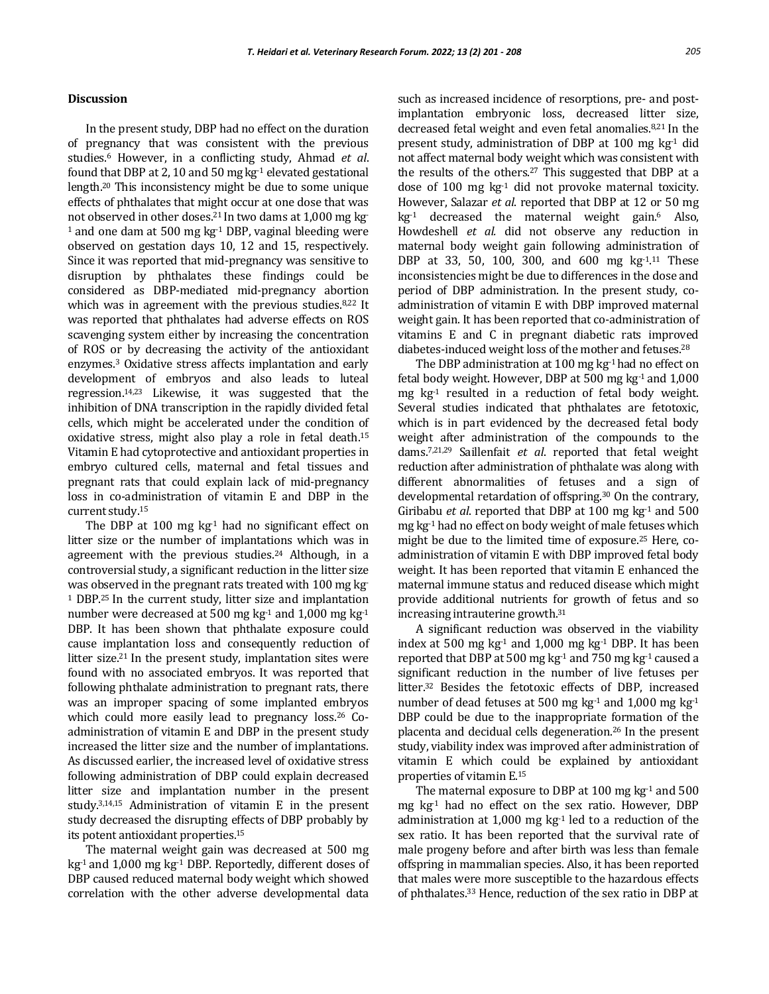### **Discussion**

In the present study, DBP had no effect on the duration of pregnancy that was consistent with the previous studies.<sup>6</sup> However, in a conflicting study, Ahmad *et al*. found that DBP at 2, 10 and 50 mg  $kg<sup>-1</sup>$  elevated gestational length.<sup>20</sup> This inconsistency might be due to some unique effects of phthalates that might occur at one dose that was not observed in other doses.<sup>21</sup> In two dams at 1,000 mg kg-<sup>1</sup> and one dam at 500 mg kg<sup>-1</sup> DBP, vaginal bleeding were observed on gestation days 10, 12 and 15, respectively. Since it was reported that mid-pregnancy was sensitive to disruption by phthalates these findings could be considered as DBP-mediated mid-pregnancy abortion which was in agreement with the previous studies.<sup>8,22</sup> It was reported that phthalates had adverse effects on ROS scavenging system either by increasing the concentration of ROS or by decreasing the activity of the antioxidant enzymes. <sup>3</sup> Oxidative stress affects implantation and early development of embryos and also leads to luteal regression. 14,23 Likewise, it was suggested that the inhibition of DNA transcription in the rapidly divided fetal cells, which might be accelerated under the condition of oxidative stress, might also play a role in fetal death. 15 Vitamin E had cytoprotective and antioxidant properties in embryo cultured cells, maternal and fetal tissues and pregnant rats that could explain lack of mid-pregnancy loss in co-administration of vitamin E and DBP in the current study.<sup>15</sup>

The DBP at 100 mg  $kg<sup>-1</sup>$  had no significant effect on litter size or the number of implantations which was in agreement with the previous studies.<sup>24</sup> Although, in a controversial study, a significant reduction in the litter size was observed in the pregnant rats treated with 100 mg kg-<sup>1</sup> DBP.25 In the current study, litter size and implantation number were decreased at 500 mg kg-1 and 1,000 mg kg-1 DBP. It has been shown that phthalate exposure could cause implantation loss and consequently reduction of litter size.21 In the present study, implantation sites were found with no associated embryos. It was reported that following phthalate administration to pregnant rats, there was an improper spacing of some implanted embryos which could more easily lead to pregnancy loss.<sup>26</sup> Coadministration of vitamin E and DBP in the present study increased the litter size and the number of implantations. As discussed earlier, the increased level of oxidative stress following administration of DBP could explain decreased litter size and implantation number in the present study.3,14,15 Administration of vitamin E in the present study decreased the disrupting effects of DBP probably by its potent antioxidant properties.<sup>15</sup>

The maternal weight gain was decreased at 500 mg  $kg<sup>-1</sup>$  and 1,000 mg kg<sup>-1</sup> DBP. Reportedly, different doses of DBP caused reduced maternal body weight which showed correlation with the other adverse developmental data

such as increased incidence of resorptions, pre- and postimplantation embryonic loss, decreased litter size, decreased fetal weight and even fetal anomalies.8,21 In the present study, administration of DBP at 100 mg kg-1 did not affect maternal body weight which was consistent with the results of the others.<sup>27</sup> This suggested that DBP at a dose of 100 mg kg-1 did not provoke maternal toxicity. However, Salazar *et al*. reported that DBP at 12 or 50 mg  $kg<sup>1</sup>$  decreased the maternal weight gain.<sup>6</sup> Also, Howdeshell *et al.* did not observe any reduction in maternal body weight gain following administration of DBP at 33, 50, 100, 300, and 600 mg kg<sup>-1 11</sup> These inconsistencies might be due to differences in the dose and period of DBP administration. In the present study, coadministration of vitamin E with DBP improved maternal weight gain. It has been reported that co-administration of vitamins E and C in pregnant diabetic rats improved diabetes-induced weight loss of the mother and fetuses.<sup>28</sup>

The DBP administration at 100 mg  $kg<sup>-1</sup>$  had no effect on fetal body weight. However, DBP at 500 mg kg-1 and 1,000 mg kg-1 resulted in a reduction of fetal body weight. Several studies indicated that phthalates are fetotoxic, which is in part evidenced by the decreased fetal body weight after administration of the compounds to the dams.7,21,29 Saillenfait *et al*. reported that fetal weight reduction after administration of phthalate was along with different abnormalities of fetuses and a sign of developmental retardation of offspring.<sup>30</sup> On the contrary, Giribabu *et al.* reported that DBP at 100 mg kg<sup>-1</sup> and 500 mg kg-1 had no effect on body weight of male fetuses which might be due to the limited time of exposure.<sup>25</sup> Here, coadministration of vitamin E with DBP improved fetal body weight. It has been reported that vitamin E enhanced the maternal immune status and reduced disease which might provide additional nutrients for growth of fetus and so increasing intrauterine growth.<sup>31</sup>

A significant reduction was observed in the viability index at 500 mg  $kg<sup>-1</sup>$  and 1,000 mg  $kg<sup>-1</sup>$  DBP. It has been reported that DBP at 500 mg kg-1 and 750 mg kg-1 caused a significant reduction in the number of live fetuses per litter.<sup>32</sup> Besides the fetotoxic effects of DBP, increased number of dead fetuses at 500 mg kg<sup>-1</sup> and 1,000 mg kg<sup>-1</sup> DBP could be due to the inappropriate formation of the placenta and decidual cells degeneration.<sup>26</sup> In the present study, viability index was improved after administration of vitamin E which could be explained by antioxidant properties of vitamin E.<sup>15</sup>

The maternal exposure to DBP at  $100$  mg kg $^{-1}$  and  $500$ mg  $kg<sup>-1</sup>$  had no effect on the sex ratio. However, DBP administration at 1,000 mg kg-1 led to a reduction of the sex ratio. It has been reported that the survival rate of male progeny before and after birth was less than female offspring in mammalian species. Also, it has been reported that males were more susceptible to the hazardous effects of phthalates.<sup>33</sup> Hence, reduction of the sex ratio in DBP at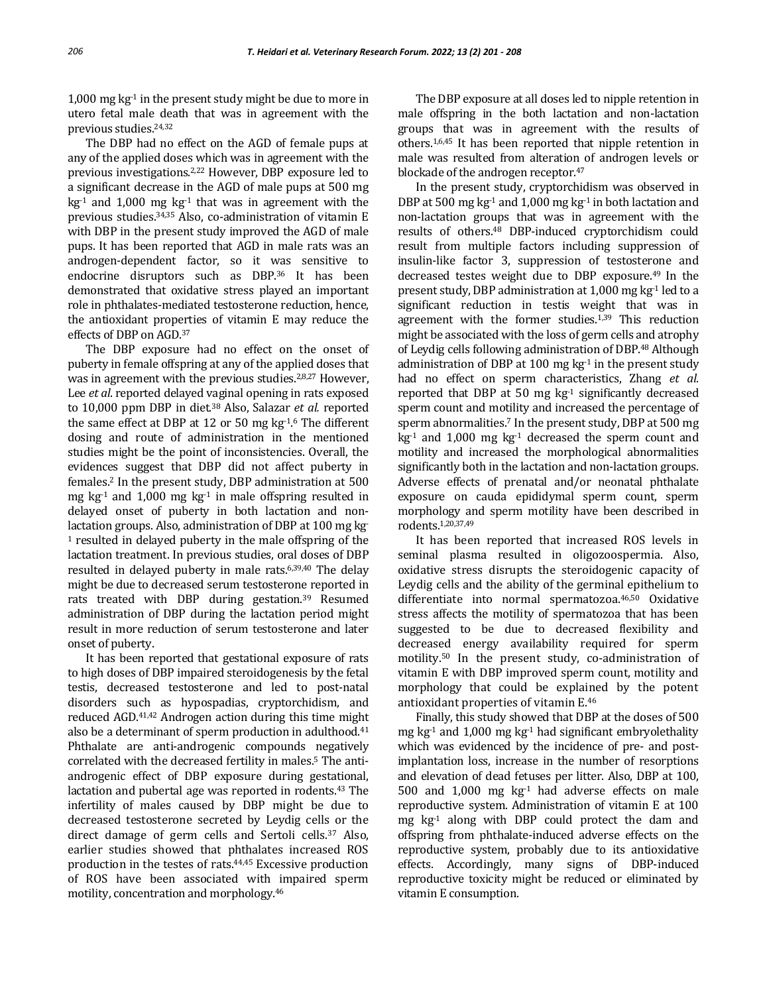1,000 mg  $kg<sup>-1</sup>$  in the present study might be due to more in utero fetal male death that was in agreement with the previous studies.24,32

The DBP had no effect on the AGD of female pups at any of the applied doses which was in agreement with the previous investigations.2,22 However, DBP exposure led to a significant decrease in the AGD of male pups at 500 mg  $kg<sup>-1</sup>$  and 1,000 mg  $kg<sup>-1</sup>$  that was in agreement with the previous studies.34,35 Also, co-administration of vitamin E with DBP in the present study improved the AGD of male pups. It has been reported that AGD in male rats was an androgen-dependent factor, so it was sensitive to endocrine disruptors such as DBP.<sup>36</sup> It has been demonstrated that oxidative stress played an important role in phthalates-mediated testosterone reduction, hence, the antioxidant properties of vitamin E may reduce the effects of DBP on AGD.<sup>37</sup>

The DBP exposure had no effect on the onset of puberty in female offspring at any of the applied doses that was in agreement with the previous studies.2,8,27 However, Lee *et al*. reported delayed vaginal opening in rats exposed to 10,000 ppm DBP in diet.<sup>38</sup> Also, Salazar *et al.* reported the same effect at DBP at 12 or 50 mg  $kg<sup>1.6</sup>$  The different dosing and route of administration in the mentioned studies might be the point of inconsistencies. Overall, the evidences suggest that DBP did not affect puberty in females.<sup>2</sup> In the present study, DBP administration at 500 mg kg<sup>-1</sup> and 1,000 mg kg<sup>-1</sup> in male offspring resulted in delayed onset of puberty in both lactation and nonlactation groups. Also, administration of DBP at 100 mg kg-<sup>1</sup> resulted in delayed puberty in the male offspring of the lactation treatment. In previous studies, oral doses of DBP resulted in delayed puberty in male rats.6,39,40 The delay might be due to decreased serum testosterone reported in rats treated with DBP during gestation.<sup>39</sup> Resumed administration of DBP during the lactation period might result in more reduction of serum testosterone and later onset of puberty.

It has been reported that gestational exposure of rats to high doses of DBP impaired steroidogenesis by the fetal testis, decreased testosterone and led to post-natal disorders such as hypospadias, cryptorchidism, and reduced AGD.41,42 Androgen action during this time might also be a determinant of sperm production in adulthood.<sup>41</sup> Phthalate are anti-androgenic compounds negatively correlated with the decreased fertility in males.<sup>5</sup> The antiandrogenic effect of DBP exposure during gestational, lactation and pubertal age was reported in rodents.<sup>43</sup> The infertility of males caused by DBP might be due to decreased testosterone secreted by Leydig cells or the direct damage of germ cells and Sertoli cells.<sup>37</sup> Also, earlier studies showed that phthalates increased ROS production in the testes of rats.44,45 Excessive production of ROS have been associated with impaired sperm motility, concentration and morphology.<sup>46</sup>

The DBP exposure at all doses led to nipple retention in male offspring in the both lactation and non-lactation groups that was in agreement with the results of others.1,6,45 It has been reported that nipple retention in male was resulted from alteration of androgen levels or blockade of the androgen receptor.<sup>47</sup>

In the present study, cryptorchidism was observed in DBP at 500 mg kg<sup>-1</sup> and 1,000 mg kg<sup>-1</sup> in both lactation and non-lactation groups that was in agreement with the results of others.<sup>48</sup> DBP-induced cryptorchidism could result from multiple factors including suppression of insulin-like factor 3, suppression of testosterone and decreased testes weight due to DBP exposure.<sup>49</sup> In the present study, DBP administration at 1,000 mg kg<sup>-1</sup> led to a significant reduction in testis weight that was in agreement with the former studies.1,39 This reduction might be associated with the loss of germ cells and atrophy of Leydig cells following administration of DBP.<sup>48</sup> Although administration of DBP at 100 mg  $kg<sup>-1</sup>$  in the present study had no effect on sperm characteristics, Zhang *et al*. reported that DBP at 50 mg  $kg<sup>-1</sup>$  significantly decreased sperm count and motility and increased the percentage of sperm abnormalities.<sup>7</sup> In the present study, DBP at 500 mg  $kg<sup>-1</sup>$  and 1,000 mg  $kg<sup>-1</sup>$  decreased the sperm count and motility and increased the morphological abnormalities significantly both in the lactation and non-lactation groups. Adverse effects of prenatal and/or neonatal phthalate exposure on cauda epididymal sperm count, sperm morphology and sperm motility have been described in rodents.1,20,37,49

It has been reported that increased ROS levels in seminal plasma resulted in oligozoospermia. Also, oxidative stress disrupts the steroidogenic capacity of Leydig cells and the ability of the germinal epithelium to differentiate into normal spermatozoa.46,50 Oxidative stress affects the motility of spermatozoa that has been suggested to be due to decreased flexibility and decreased energy availability required for sperm motility.<sup>50</sup> In the present study, co-administration of vitamin E with DBP improved sperm count, motility and morphology that could be explained by the potent antioxidant properties of vitamin E.<sup>46</sup>

Finally, this study showed that DBP at the doses of 500 mg kg<sup>-1</sup> and 1,000 mg kg<sup>-1</sup> had significant embryolethality which was evidenced by the incidence of pre- and postimplantation loss, increase in the number of resorptions and elevation of dead fetuses per litter. Also, DBP at 100, 500 and  $1,000$  mg  $kg<sup>-1</sup>$  had adverse effects on male reproductive system. Administration of vitamin E at 100 mg kg-1 along with DBP could protect the dam and offspring from phthalate-induced adverse effects on the reproductive system, probably due to its antioxidative effects. Accordingly, many signs of DBP-induced reproductive toxicity might be reduced or eliminated by vitamin E consumption.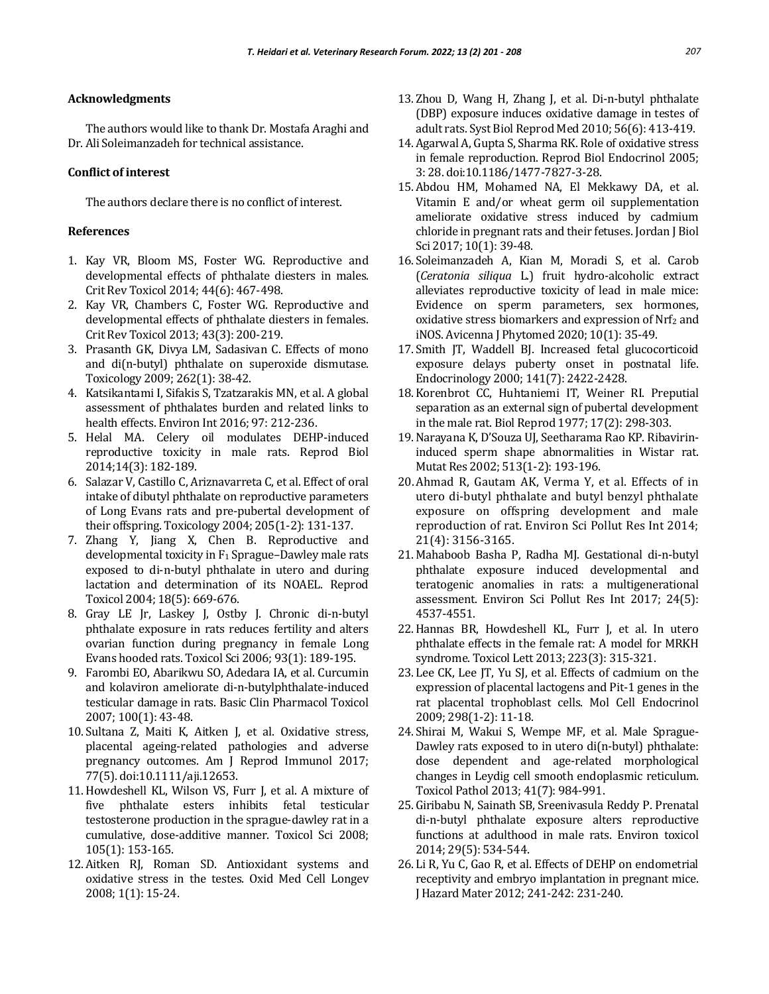## **Acknowledgments**

The authors would like to thank Dr. Mostafa Araghi and Dr. Ali Soleimanzadeh for technical assistance.

## **Conflict of interest**

The authors declare there is no conflict of interest.

### **References**

- 1. Kay VR, Bloom MS, Foster WG. Reproductive and developmental effects of phthalate diesters in males. Crit Rev Toxicol 2014; 44(6): 467-498.
- 2. Kay VR, Chambers C, Foster WG. Reproductive and developmental effects of phthalate diesters in females. Crit Rev Toxicol 2013; 43(3): 200-219.
- 3. Prasanth GK, Divya LM, Sadasivan C. Effects of mono and di(n-butyl) phthalate on superoxide dismutase. Toxicology 2009; 262(1): 38-42.
- 4. Katsikantami I, Sifakis S, Tzatzarakis MN, et al. A global assessment of phthalates burden and related links to health effects. Environ Int 2016; 97: 212-236.
- 5. Helal MA. Celery oil modulates DEHP-induced reproductive toxicity in male rats. Reprod Biol 2014;14(3): 182-189.
- 6. Salazar V, Castillo C, Ariznavarreta C, et al. Effect of oral intake of dibutyl phthalate on reproductive parameters of Long Evans rats and pre-pubertal development of their offspring. Toxicology 2004; 205(1-2): 131-137.
- 7. Zhang Y, Jiang X, Chen B. Reproductive and developmental toxicity in F<sup>1</sup> Sprague–Dawley male rats exposed to di-n-butyl phthalate in utero and during lactation and determination of its NOAEL. Reprod Toxicol 2004; 18(5): 669-676.
- 8. Gray LE Jr, Laskey J, Ostby J. Chronic di-n-butyl phthalate exposure in rats reduces fertility and alters ovarian function during pregnancy in female Long Evans hooded rats. Toxicol Sci 2006; 93(1): 189-195.
- 9. Farombi EO, Abarikwu SO, Adedara IA, et al. Curcumin and kolaviron ameliorate di-n-butylphthalate-induced testicular damage in rats. Basic Clin Pharmacol Toxicol 2007; 100(1): 43-48.
- 10. Sultana Z, Maiti K, Aitken J, et al. Oxidative stress, placental ageing-related pathologies and adverse pregnancy outcomes. Am J Reprod Immunol 2017; 77(5). doi:10.1111/aji.12653.
- 11.Howdeshell KL, Wilson VS, Furr J, et al. A mixture of five phthalate esters inhibits fetal testicular testosterone production in the sprague-dawley rat in a cumulative, dose-additive manner. Toxicol Sci 2008; 105(1): 153-165.
- 12. Aitken RJ, Roman SD. Antioxidant systems and oxidative stress in the testes. Oxid Med Cell Longev 2008; 1(1): 15-24.
- 13. Zhou D, Wang H, Zhang J, et al. Di-n-butyl phthalate (DBP) exposure induces oxidative damage in testes of adult rats. Syst Biol Reprod Med 2010; 56(6): 413-419.
- 14. Agarwal A, Gupta S, Sharma RK. Role of oxidative stress in female reproduction. Reprod Biol Endocrinol 2005; 3: 28. doi:10.1186/1477-7827-3-28.
- 15. Abdou HM, Mohamed NA, El Mekkawy DA, et al. Vitamin E and/or wheat germ oil supplementation ameliorate oxidative stress induced by cadmium chloride in pregnant rats and their fetuses. Jordan J Biol Sci 2017; 10(1): 39-48.
- 16. Soleimanzadeh A, Kian M, Moradi S, et al. Carob (*Ceratonia siliqua* L.) fruit hydro-alcoholic extract alleviates reproductive toxicity of lead in male mice: Evidence on sperm parameters, sex hormones, oxidative stress biomarkers and expression of Nrf<sub>2</sub> and iNOS. Avicenna J Phytomed 2020; 10(1): 35-49.
- 17. Smith JT, Waddell BJ. Increased fetal glucocorticoid exposure delays puberty onset in postnatal life. Endocrinology 2000; 141(7): 2422-2428.
- 18. Korenbrot CC, Huhtaniemi IT, Weiner RI. Preputial separation as an external sign of pubertal development in the male rat. Biol Reprod 1977; 17(2): 298-303.
- 19.Narayana K, D'Souza UJ, Seetharama Rao KP. Ribavirininduced sperm shape abnormalities in Wistar rat. Mutat Res 2002; 513(1-2): 193-196.
- 20.Ahmad R, Gautam AK, Verma Y, et al. Effects of in utero di-butyl phthalate and butyl benzyl phthalate exposure on offspring development and male reproduction of rat. Environ Sci Pollut Res Int 2014; 21(4): 3156-3165.
- 21. Mahaboob Basha P, Radha MJ. Gestational di-n-butyl phthalate exposure induced developmental and teratogenic anomalies in rats: a multigenerational assessment. Environ Sci Pollut Res Int 2017; 24(5): 4537-4551.
- 22.Hannas BR, Howdeshell KL, Furr J, et al. In utero phthalate effects in the female rat: A model for MRKH syndrome. Toxicol Lett 2013; 223(3): 315-321.
- 23. Lee CK, Lee JT, Yu SJ, et al. Effects of cadmium on the expression of placental lactogens and Pit-1 genes in the rat placental trophoblast cells. Mol Cell Endocrinol 2009; 298(1-2): 11-18.
- 24. Shirai M, Wakui S, Wempe MF, et al. Male Sprague-Dawley rats exposed to in utero di(n-butyl) phthalate: dose dependent and age-related morphological changes in Leydig cell smooth endoplasmic reticulum. Toxicol Pathol 2013; 41(7): 984-991.
- 25. Giribabu N, Sainath SB, Sreenivasula Reddy P. Prenatal di‐n‐butyl phthalate exposure alters reproductive functions at adulthood in male rats. Environ toxicol 2014; 29(5): 534-544.
- 26. Li R, Yu C, Gao R, et al. Effects of DEHP on endometrial receptivity and embryo implantation in pregnant mice. J Hazard Mater 2012; 241-242: 231-240.